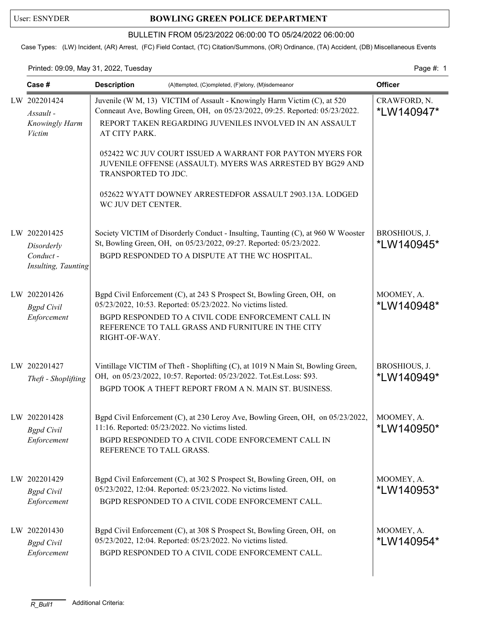## User: ESNYDER **BOWLING GREEN POLICE DEPARTMENT**

### BULLETIN FROM 05/23/2022 06:00:00 TO 05/24/2022 06:00:00

Case Types: (LW) Incident, (AR) Arrest, (FC) Field Contact, (TC) Citation/Summons, (OR) Ordinance, (TA) Accident, (DB) Miscellaneous Events

#### Printed: 09:09, May 31, 2022, Tuesday Page #: 1

| Case #                                                         | <b>Description</b><br>(A)ttempted, (C)ompleted, (F)elony, (M)isdemeanor                                                                                                                                                              |                                                                                                                                                                                                                                                   | <b>Officer</b>              |
|----------------------------------------------------------------|--------------------------------------------------------------------------------------------------------------------------------------------------------------------------------------------------------------------------------------|---------------------------------------------------------------------------------------------------------------------------------------------------------------------------------------------------------------------------------------------------|-----------------------------|
| LW 202201424<br>Assault -<br>Knowingly Harm<br><b>Victim</b>   | Juvenile (W M, 13) VICTIM of Assault - Knowingly Harm Victim (C), at 520<br>Conneaut Ave, Bowling Green, OH, on 05/23/2022, 09:25. Reported: 05/23/2022.<br>REPORT TAKEN REGARDING JUVENILES INVOLVED IN AN ASSAULT<br>AT CITY PARK. | CRAWFORD, N.<br>*LW140947*                                                                                                                                                                                                                        |                             |
|                                                                | TRANSPORTED TO JDC.                                                                                                                                                                                                                  | 052422 WC JUV COURT ISSUED A WARRANT FOR PAYTON MYERS FOR<br>JUVENILE OFFENSE (ASSAULT). MYERS WAS ARRESTED BY BG29 AND                                                                                                                           |                             |
|                                                                | WC JUV DET CENTER.                                                                                                                                                                                                                   | 052622 WYATT DOWNEY ARRESTEDFOR ASSAULT 2903.13A. LODGED                                                                                                                                                                                          |                             |
| LW 202201425<br>Disorderly<br>Conduct -<br>Insulting, Taunting |                                                                                                                                                                                                                                      | Society VICTIM of Disorderly Conduct - Insulting, Taunting (C), at 960 W Wooster<br>St, Bowling Green, OH, on 05/23/2022, 09:27. Reported: 05/23/2022.<br>BGPD RESPONDED TO A DISPUTE AT THE WC HOSPITAL.                                         | BROSHIOUS, J.<br>*LW140945* |
| LW 202201426<br><b>Bgpd</b> Civil<br>Enforcement               | RIGHT-OF-WAY.                                                                                                                                                                                                                        | Bgpd Civil Enforcement (C), at 243 S Prospect St, Bowling Green, OH, on<br>05/23/2022, 10:53. Reported: 05/23/2022. No victims listed.<br>BGPD RESPONDED TO A CIVIL CODE ENFORCEMENT CALL IN<br>REFERENCE TO TALL GRASS AND FURNITURE IN THE CITY | MOOMEY, A.<br>*LW140948*    |
| LW 202201427<br>Theft - Shoplifting                            |                                                                                                                                                                                                                                      | Vintillage VICTIM of Theft - Shoplifting (C), at 1019 N Main St, Bowling Green,<br>OH, on 05/23/2022, 10:57. Reported: 05/23/2022. Tot.Est.Loss: \$93.<br>BGPD TOOK A THEFT REPORT FROM A N. MAIN ST. BUSINESS.                                   | BROSHIOUS, J.<br>*LW140949* |
| LW 202201428<br><b>Bgpd</b> Civil<br>Enforcement               | 11:16. Reported: 05/23/2022. No victims listed.<br>REFERENCE TO TALL GRASS.                                                                                                                                                          | Bgpd Civil Enforcement (C), at 230 Leroy Ave, Bowling Green, OH, on 05/23/2022,<br>BGPD RESPONDED TO A CIVIL CODE ENFORCEMENT CALL IN                                                                                                             | MOOMEY, A.<br>*LW140950*    |
| LW 202201429<br><b>Bgpd</b> Civil<br>Enforcement               |                                                                                                                                                                                                                                      | Bgpd Civil Enforcement (C), at 302 S Prospect St, Bowling Green, OH, on<br>05/23/2022, 12:04. Reported: 05/23/2022. No victims listed.<br>BGPD RESPONDED TO A CIVIL CODE ENFORCEMENT CALL.                                                        | MOOMEY, A.<br>*LW140953*    |
| LW 202201430<br><b>Bgpd</b> Civil<br>Enforcement               |                                                                                                                                                                                                                                      | Bgpd Civil Enforcement (C), at 308 S Prospect St, Bowling Green, OH, on<br>05/23/2022, 12:04. Reported: 05/23/2022. No victims listed.<br>BGPD RESPONDED TO A CIVIL CODE ENFORCEMENT CALL.                                                        | MOOMEY, A.<br>*LW140954*    |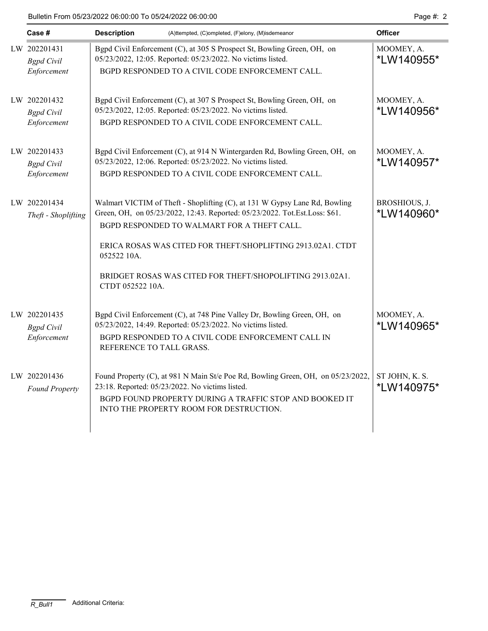| Case #                                           | <b>Description</b>              | (A)ttempted, (C)ompleted, (F)elony, (M)isdemeanor                                                                                                                                                                                                                                                                                   | <b>Officer</b>               |
|--------------------------------------------------|---------------------------------|-------------------------------------------------------------------------------------------------------------------------------------------------------------------------------------------------------------------------------------------------------------------------------------------------------------------------------------|------------------------------|
| LW 202201431<br><b>Bgpd</b> Civil<br>Enforcement |                                 | Bgpd Civil Enforcement (C), at 305 S Prospect St, Bowling Green, OH, on<br>05/23/2022, 12:05. Reported: 05/23/2022. No victims listed.<br>BGPD RESPONDED TO A CIVIL CODE ENFORCEMENT CALL.                                                                                                                                          | MOOMEY, A.<br>*LW140955*     |
| LW 202201432<br><b>Bgpd</b> Civil<br>Enforcement |                                 | Bgpd Civil Enforcement (C), at 307 S Prospect St, Bowling Green, OH, on<br>05/23/2022, 12:05. Reported: 05/23/2022. No victims listed.<br>BGPD RESPONDED TO A CIVIL CODE ENFORCEMENT CALL.                                                                                                                                          | MOOMEY, A.<br>*LW140956*     |
| LW 202201433<br><b>Bgpd</b> Civil<br>Enforcement |                                 | Bgpd Civil Enforcement (C), at 914 N Wintergarden Rd, Bowling Green, OH, on<br>05/23/2022, 12:06. Reported: 05/23/2022. No victims listed.<br>BGPD RESPONDED TO A CIVIL CODE ENFORCEMENT CALL.                                                                                                                                      | MOOMEY, A.<br>*LW140957*     |
| LW 202201434<br>Theft - Shoplifting              | 052522 10A.<br>CTDT 052522 10A. | Walmart VICTIM of Theft - Shoplifting (C), at 131 W Gypsy Lane Rd, Bowling<br>Green, OH, on 05/23/2022, 12:43. Reported: 05/23/2022. Tot.Est.Loss: \$61.<br>BGPD RESPONDED TO WALMART FOR A THEFT CALL.<br>ERICA ROSAS WAS CITED FOR THEFT/SHOPLIFTING 2913.02A1. CTDT<br>BRIDGET ROSAS WAS CITED FOR THEFT/SHOPOLIFTING 2913.02A1. | BROSHIOUS, J.<br>*LW140960*  |
| LW 202201435<br><b>Bgpd</b> Civil<br>Enforcement | REFERENCE TO TALL GRASS.        | Bgpd Civil Enforcement (C), at 748 Pine Valley Dr, Bowling Green, OH, on<br>05/23/2022, 14:49. Reported: 05/23/2022. No victims listed.<br>BGPD RESPONDED TO A CIVIL CODE ENFORCEMENT CALL IN                                                                                                                                       | MOOMEY, A.<br>*LW140965*     |
| LW 202201436<br><b>Found Property</b>            |                                 | Found Property (C), at 981 N Main St/e Poe Rd, Bowling Green, OH, on 05/23/2022,<br>23:18. Reported: 05/23/2022. No victims listed.<br>BGPD FOUND PROPERTY DURING A TRAFFIC STOP AND BOOKED IT<br>INTO THE PROPERTY ROOM FOR DESTRUCTION.                                                                                           | ST JOHN, K. S.<br>*LW140975* |